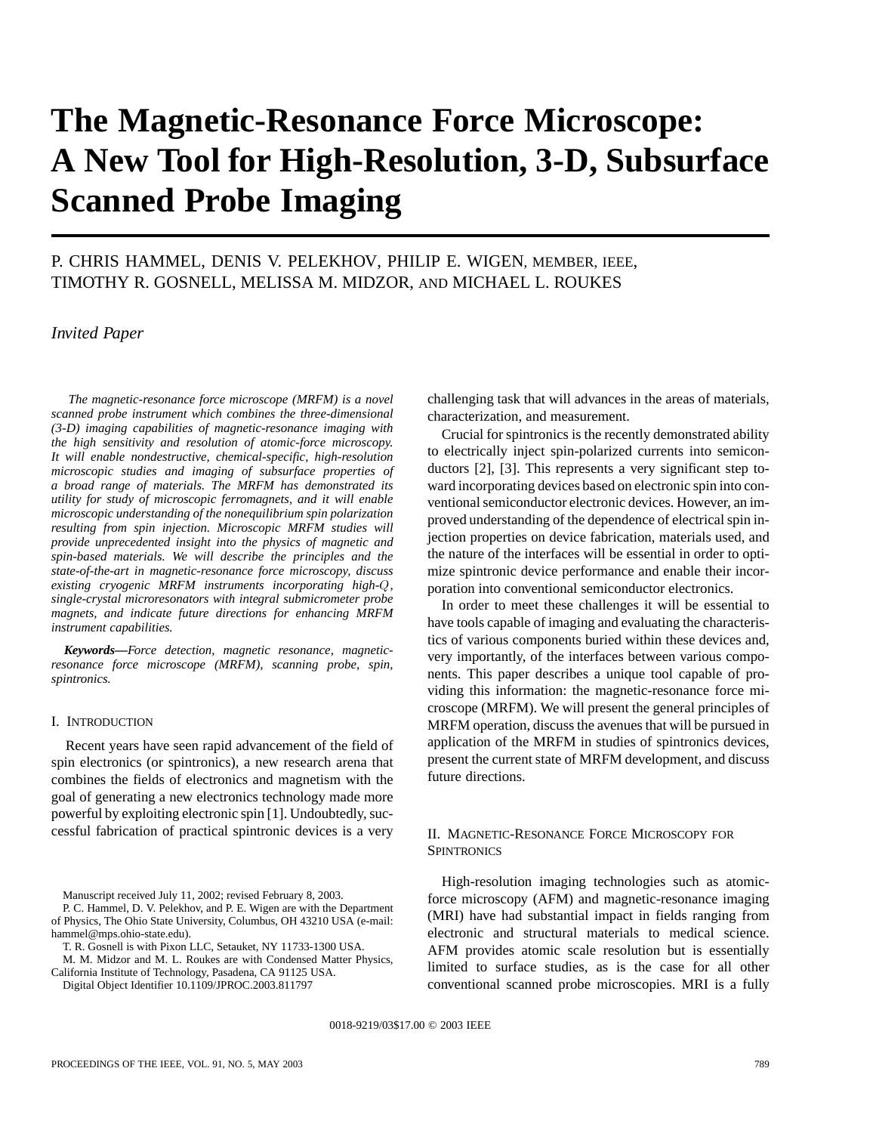# **The Magnetic-Resonance Force Microscope: A New Tool for High-Resolution, 3-D, Subsurface Scanned Probe Imaging**

## P. CHRIS HAMMEL, DENIS V. PELEKHOV, PHILIP E. WIGEN, MEMBER, IEEE, TIMOTHY R. GOSNELL, MELISSA M. MIDZOR, AND MICHAEL L. ROUKES

## *Invited Paper*

*The magnetic-resonance force microscope (MRFM) is a novel scanned probe instrument which combines the three-dimensional (3-D) imaging capabilities of magnetic-resonance imaging with the high sensitivity and resolution of atomic-force microscopy. It will enable nondestructive, chemical-specific, high-resolution microscopic studies and imaging of subsurface properties of a broad range of materials. The MRFM has demonstrated its utility for study of microscopic ferromagnets, and it will enable microscopic understanding of the nonequilibrium spin polarization resulting from spin injection. Microscopic MRFM studies will provide unprecedented insight into the physics of magnetic and spin-based materials. We will describe the principles and the state-of-the-art in magnetic-resonance force microscopy, discuss existing cryogenic MRFM instruments incorporating high-*Q*, single-crystal microresonators with integral submicrometer probe magnets, and indicate future directions for enhancing MRFM instrument capabilities.*

*Keywords—Force detection, magnetic resonance, magneticresonance force microscope (MRFM), scanning probe, spin, spintronics.*

#### I. INTRODUCTION

Recent years have seen rapid advancement of the field of spin electronics (or spintronics), a new research arena that combines the fields of electronics and magnetism with the goal of generating a new electronics technology made more powerful by exploiting electronic spin [1]. Undoubtedly, successful fabrication of practical spintronic devices is a very

Manuscript received July 11, 2002; revised February 8, 2003.

P. C. Hammel, D. V. Pelekhov, and P. E. Wigen are with the Department of Physics, The Ohio State University, Columbus, OH 43210 USA (e-mail: hammel@mps.ohio-state.edu).

T. R. Gosnell is with Pixon LLC, Setauket, NY 11733-1300 USA.

M. M. Midzor and M. L. Roukes are with Condensed Matter Physics, California Institute of Technology, Pasadena, CA 91125 USA.

Digital Object Identifier 10.1109/JPROC.2003.811797

challenging task that will advances in the areas of materials, characterization, and measurement.

Crucial for spintronics is the recently demonstrated ability to electrically inject spin-polarized currents into semiconductors [2], [3]. This represents a very significant step toward incorporating devices based on electronic spin into conventional semiconductor electronic devices. However, an improved understanding of the dependence of electrical spin injection properties on device fabrication, materials used, and the nature of the interfaces will be essential in order to optimize spintronic device performance and enable their incorporation into conventional semiconductor electronics.

In order to meet these challenges it will be essential to have tools capable of imaging and evaluating the characteristics of various components buried within these devices and, very importantly, of the interfaces between various components. This paper describes a unique tool capable of providing this information: the magnetic-resonance force microscope (MRFM). We will present the general principles of MRFM operation, discuss the avenues that will be pursued in application of the MRFM in studies of spintronics devices, present the current state of MRFM development, and discuss future directions.

## II. MAGNETIC-RESONANCE FORCE MICROSCOPY FOR **SPINTRONICS**

High-resolution imaging technologies such as atomicforce microscopy (AFM) and magnetic-resonance imaging (MRI) have had substantial impact in fields ranging from electronic and structural materials to medical science. AFM provides atomic scale resolution but is essentially limited to surface studies, as is the case for all other conventional scanned probe microscopies. MRI is a fully

0018-9219/03\$17.00 © 2003 IEEE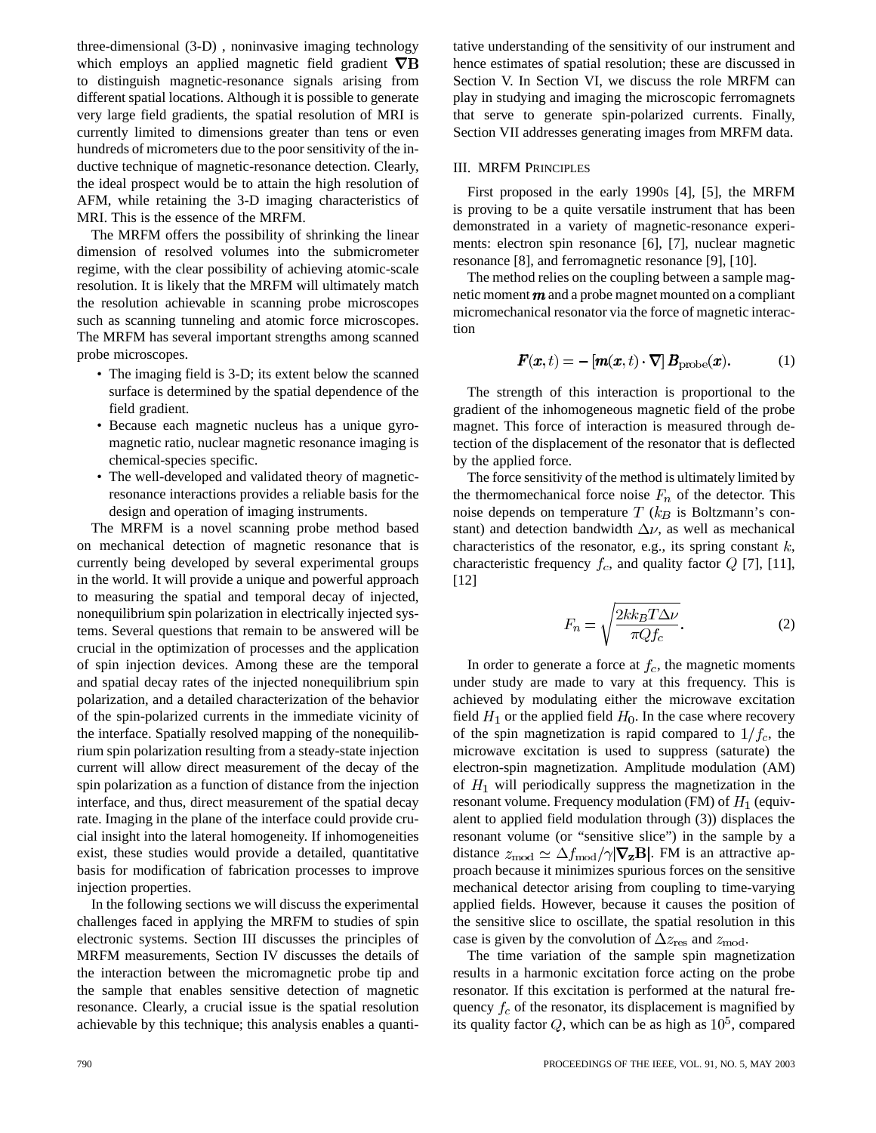three-dimensional (3-D) , noninvasive imaging technology which employs an applied magnetic field gradient  $\nabla B$ to distinguish magnetic-resonance signals arising from different spatial locations. Although it is possible to generate very large field gradients, the spatial resolution of MRI is currently limited to dimensions greater than tens or even hundreds of micrometers due to the poor sensitivity of the inductive technique of magnetic-resonance detection. Clearly, the ideal prospect would be to attain the high resolution of AFM, while retaining the 3-D imaging characteristics of MRI. This is the essence of the MRFM.

The MRFM offers the possibility of shrinking the linear dimension of resolved volumes into the submicrometer regime, with the clear possibility of achieving atomic-scale resolution. It is likely that the MRFM will ultimately match the resolution achievable in scanning probe microscopes such as scanning tunneling and atomic force microscopes. The MRFM has several important strengths among scanned probe microscopes.

- The imaging field is 3-D; its extent below the scanned surface is determined by the spatial dependence of the field gradient.
- Because each magnetic nucleus has a unique gyromagnetic ratio, nuclear magnetic resonance imaging is chemical-species specific.
- The well-developed and validated theory of magneticresonance interactions provides a reliable basis for the design and operation of imaging instruments.

The MRFM is a novel scanning probe method based on mechanical detection of magnetic resonance that is currently being developed by several experimental groups in the world. It will provide a unique and powerful approach to measuring the spatial and temporal decay of injected, nonequilibrium spin polarization in electrically injected systems. Several questions that remain to be answered will be crucial in the optimization of processes and the application of spin injection devices. Among these are the temporal and spatial decay rates of the injected nonequilibrium spin polarization, and a detailed characterization of the behavior of the spin-polarized currents in the immediate vicinity of the interface. Spatially resolved mapping of the nonequilibrium spin polarization resulting from a steady-state injection current will allow direct measurement of the decay of the spin polarization as a function of distance from the injection interface, and thus, direct measurement of the spatial decay rate. Imaging in the plane of the interface could provide crucial insight into the lateral homogeneity. If inhomogeneities exist, these studies would provide a detailed, quantitative basis for modification of fabrication processes to improve injection properties.

In the following sections we will discuss the experimental challenges faced in applying the MRFM to studies of spin electronic systems. Section III discusses the principles of MRFM measurements, Section IV discusses the details of the interaction between the micromagnetic probe tip and the sample that enables sensitive detection of magnetic resonance. Clearly, a crucial issue is the spatial resolution achievable by this technique; this analysis enables a quantitative understanding of the sensitivity of our instrument and hence estimates of spatial resolution; these are discussed in Section V. In Section VI, we discuss the role MRFM can play in studying and imaging the microscopic ferromagnets that serve to generate spin-polarized currents. Finally, Section VII addresses generating images from MRFM data.

#### III. MRFM PRINCIPLES

First proposed in the early 1990s [4], [5], the MRFM is proving to be a quite versatile instrument that has been demonstrated in a variety of magnetic-resonance experiments: electron spin resonance [6], [7], nuclear magnetic resonance [8], and ferromagnetic resonance [9], [10].

The method relies on the coupling between a sample magnetic moment  $m$  and a probe magnet mounted on a compliant micromechanical resonator via the force of magnetic interaction

$$
F(x,t) = -\left[m(x,t)\cdot\nabla\right]B_{\text{probe}}(x). \tag{1}
$$

The strength of this interaction is proportional to the gradient of the inhomogeneous magnetic field of the probe magnet. This force of interaction is measured through detection of the displacement of the resonator that is deflected by the applied force.

The force sensitivity of the method is ultimately limited by the thermomechanical force noise  $F_n$  of the detector. This noise depends on temperature  $T$  ( $k_B$  is Boltzmann's constant) and detection bandwidth  $\Delta \nu$ , as well as mechanical characteristics of the resonator, e.g., its spring constant  $k$ , characteristic frequency  $f_c$ , and quality factor  $Q$  [7], [11], [12]

$$
F_n = \sqrt{\frac{2k k_B T \Delta \nu}{\pi Q f_c}}.
$$
 (2)

In order to generate a force at  $f_c$ , the magnetic moments under study are made to vary at this frequency. This is achieved by modulating either the microwave excitation field  $H_1$  or the applied field  $H_0$ . In the case where recovery of the spin magnetization is rapid compared to  $1/f_c$ , the microwave excitation is used to suppress (saturate) the electron-spin magnetization. Amplitude modulation (AM) of  $H_1$  will periodically suppress the magnetization in the resonant volume. Frequency modulation (FM) of  $H_1$  (equivalent to applied field modulation through (3)) displaces the resonant volume (or "sensitive slice") in the sample by a distance  $z_{\text{mod}} \simeq \Delta f_{\text{mod}} / \gamma |\nabla_{\mathbf{z}} \mathbf{B}|$ . FM is an attractive approach because it minimizes spurious forces on the sensitive mechanical detector arising from coupling to time-varying applied fields. However, because it causes the position of the sensitive slice to oscillate, the spatial resolution in this case is given by the convolution of  $\Delta z_{\rm res}$  and  $z_{\rm mod}$ .

The time variation of the sample spin magnetization results in a harmonic excitation force acting on the probe resonator. If this excitation is performed at the natural frequency  $f_c$  of the resonator, its displacement is magnified by its quality factor  $Q$ , which can be as high as  $10^5$ , compared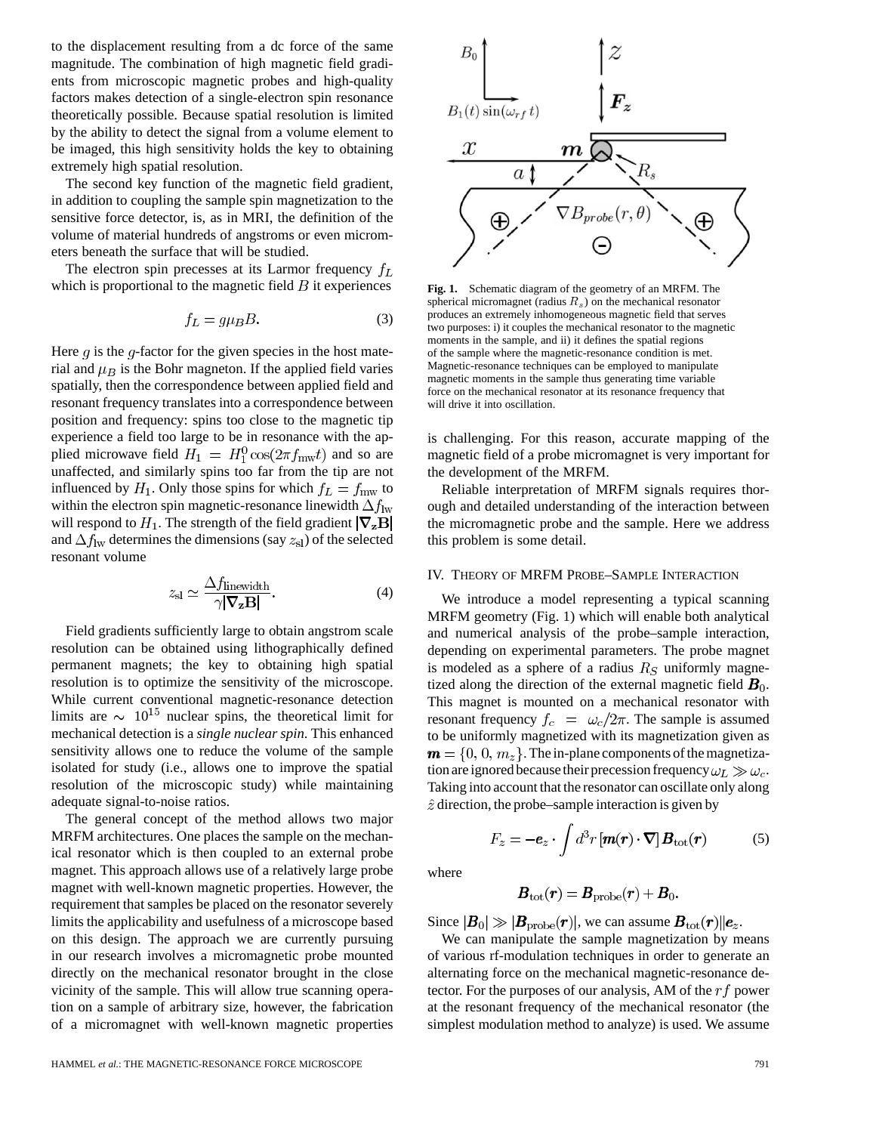to the displacement resulting from a dc force of the same magnitude. The combination of high magnetic field gradients from microscopic magnetic probes and high-quality factors makes detection of a single-electron spin resonance theoretically possible. Because spatial resolution is limited by the ability to detect the signal from a volume element to be imaged, this high sensitivity holds the key to obtaining extremely high spatial resolution.

The second key function of the magnetic field gradient, in addition to coupling the sample spin magnetization to the sensitive force detector, is, as in MRI, the definition of the volume of material hundreds of angstroms or even micrometers beneath the surface that will be studied.

The electron spin precesses at its Larmor frequency  $f_L$ which is proportional to the magnetic field  $B$  it experiences

$$
f_L = g\mu_B B. \tag{3}
$$

Here  $g$  is the  $g$ -factor for the given species in the host material and  $\mu_B$  is the Bohr magneton. If the applied field varies spatially, then the correspondence between applied field and resonant frequency translates into a correspondence between position and frequency: spins too close to the magnetic tip experience a field too large to be in resonance with the applied microwave field  $H_1 = H_1^0 \cos(2\pi f_{\text{mw}}t)$  and so are unaffected, and similarly spins too far from the tip are not influenced by  $H_1$ . Only those spins for which  $f_L = f_{\text{mw}}$  to within the electron spin magnetic-resonance linewidth  $\Delta f_{\text{lw}}$ will respond to  $H_1$ . The strength of the field gradient  $|\nabla_{\mathbf{z}}\mathbf{B}|$ and  $\Delta f_{\text{lw}}$  determines the dimensions (say  $z_{\text{sl}}$ ) of the selected resonant volume

$$
z_{\rm sl} \simeq \frac{\Delta f_{\rm linewidth}}{\gamma |\nabla_{\mathbf{z}} \mathbf{B}|}.\tag{4}
$$

Field gradients sufficiently large to obtain angstrom scale resolution can be obtained using lithographically defined permanent magnets; the key to obtaining high spatial resolution is to optimize the sensitivity of the microscope. While current conventional magnetic-resonance detection limits are  $\sim 10^{15}$  nuclear spins, the theoretical limit for mechanical detection is a *single nuclear spin*. This enhanced sensitivity allows one to reduce the volume of the sample isolated for study (i.e., allows one to improve the spatial resolution of the microscopic study) while maintaining adequate signal-to-noise ratios.

The general concept of the method allows two major MRFM architectures. One places the sample on the mechanical resonator which is then coupled to an external probe magnet. This approach allows use of a relatively large probe magnet with well-known magnetic properties. However, the requirement that samples be placed on the resonator severely limits the applicability and usefulness of a microscope based on this design. The approach we are currently pursuing in our research involves a micromagnetic probe mounted directly on the mechanical resonator brought in the close vicinity of the sample. This will allow true scanning operation on a sample of arbitrary size, however, the fabrication of a micromagnet with well-known magnetic properties



**Fig. 1.** Schematic diagram of the geometry of an MRFM. The spherical micromagnet (radius  $R_s$ ) on the mechanical resonator produces an extremely inhomogeneous magnetic field that serves two purposes: i) it couples the mechanical resonator to the magnetic moments in the sample, and ii) it defines the spatial regions of the sample where the magnetic-resonance condition is met. Magnetic-resonance techniques can be employed to manipulate magnetic moments in the sample thus generating time variable force on the mechanical resonator at its resonance frequency that will drive it into oscillation.

is challenging. For this reason, accurate mapping of the magnetic field of a probe micromagnet is very important for the development of the MRFM.

Reliable interpretation of MRFM signals requires thorough and detailed understanding of the interaction between the micromagnetic probe and the sample. Here we address this problem is some detail.

#### IV. THEORY OF MRFM PROBE–SAMPLE INTERACTION

We introduce a model representing a typical scanning MRFM geometry (Fig. 1) which will enable both analytical and numerical analysis of the probe–sample interaction, depending on experimental parameters. The probe magnet is modeled as a sphere of a radius  $R<sub>S</sub>$  uniformly magnetized along the direction of the external magnetic field  $B_0$ . This magnet is mounted on a mechanical resonator with resonant frequency  $f_c = \omega_c/2\pi$ . The sample is assumed to be uniformly magnetized with its magnetization given as  $\mathbf{m} = \{0, 0, m_z\}$ . The in-plane components of the magnetization are ignored because their precession frequency  $\omega_L \gg \omega_c$ . Taking into account that the resonator can oscillate only along  $\hat{z}$  direction, the probe–sample interaction is given by

where

$$
\mathcal{L}^{\mathcal{L}}(\mathcal{L}^{\mathcal{L}})
$$

$$
\boldsymbol{B}_{\mathrm{tot}}(\boldsymbol{r}) = \boldsymbol{B}_{\mathrm{probe}}(\boldsymbol{r}) + \boldsymbol{B}_{0}.
$$

 $F_z = -e_z \cdot \int d^3r \left[ \boldsymbol{m}(\boldsymbol{r}) \cdot \nabla \right] \boldsymbol{B}_{\text{tot}}(\boldsymbol{r})$ 

Since  $|B_0| \gg |B_{\text{probe}}(r)|$ , we can assume  $B_{\text{tot}}(r)||e_z$ .

We can manipulate the sample magnetization by means of various rf-modulation techniques in order to generate an alternating force on the mechanical magnetic-resonance detector. For the purposes of our analysis, AM of the  $rf$  power at the resonant frequency of the mechanical resonator (the simplest modulation method to analyze) is used. We assume

(5)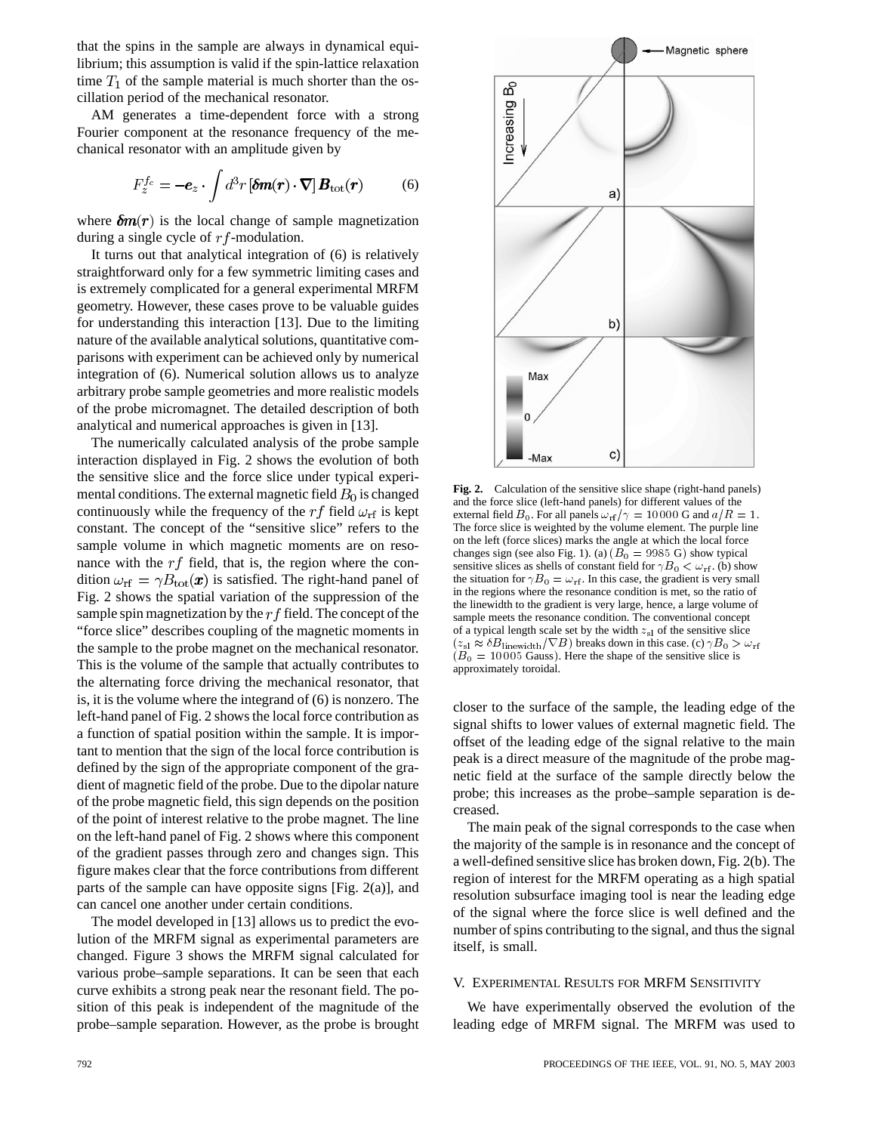that the spins in the sample are always in dynamical equilibrium; this assumption is valid if the spin-lattice relaxation time  $T_1$  of the sample material is much shorter than the oscillation period of the mechanical resonator.

AM generates a time-dependent force with a strong Fourier component at the resonance frequency of the mechanical resonator with an amplitude given by

$$
F_z^{f_c} = -\boldsymbol{e}_z \cdot \int d^3r \left[ \boldsymbol{\delta m}(\boldsymbol{r}) \cdot \boldsymbol{\nabla} \right] \boldsymbol{B}_{\text{tot}}(\boldsymbol{r}) \tag{6}
$$

where  $\delta m(r)$  is the local change of sample magnetization during a single cycle of  $rf$ -modulation.

It turns out that analytical integration of (6) is relatively straightforward only for a few symmetric limiting cases and is extremely complicated for a general experimental MRFM geometry. However, these cases prove to be valuable guides for understanding this interaction [13]. Due to the limiting nature of the available analytical solutions, quantitative comparisons with experiment can be achieved only by numerical integration of (6). Numerical solution allows us to analyze arbitrary probe sample geometries and more realistic models of the probe micromagnet. The detailed description of both analytical and numerical approaches is given in [13].

The numerically calculated analysis of the probe sample interaction displayed in Fig. 2 shows the evolution of both the sensitive slice and the force slice under typical experimental conditions. The external magnetic field  $B_0$  is changed continuously while the frequency of the r f field  $\omega_{\rm rf}$  is kept constant. The concept of the "sensitive slice" refers to the sample volume in which magnetic moments are on resonance with the  $rf$  field, that is, the region where the condition  $\omega_{\text{rf}} = \gamma B_{\text{tot}}(\boldsymbol{x})$  is satisfied. The right-hand panel of Fig. 2 shows the spatial variation of the suppression of the sample spin magnetization by the  $rf$  field. The concept of the "force slice" describes coupling of the magnetic moments in the sample to the probe magnet on the mechanical resonator. This is the volume of the sample that actually contributes to the alternating force driving the mechanical resonator, that is, it is the volume where the integrand of (6) is nonzero. The left-hand panel of Fig. 2 shows the local force contribution as a function of spatial position within the sample. It is important to mention that the sign of the local force contribution is defined by the sign of the appropriate component of the gradient of magnetic field of the probe. Due to the dipolar nature of the probe magnetic field, this sign depends on the position of the point of interest relative to the probe magnet. The line on the left-hand panel of Fig. 2 shows where this component of the gradient passes through zero and changes sign. This figure makes clear that the force contributions from different parts of the sample can have opposite signs [Fig. 2(a)], and can cancel one another under certain conditions.

The model developed in [13] allows us to predict the evolution of the MRFM signal as experimental parameters are changed. Figure 3 shows the MRFM signal calculated for various probe–sample separations. It can be seen that each curve exhibits a strong peak near the resonant field. The position of this peak is independent of the magnitude of the probe–sample separation. However, as the probe is brought



Fig. 2. Calculation of the sensitive slice shape (right-hand panels) and the force slice (left-hand panels) for different values of the external field  $B_0$ . For all panels  $\omega_{\text{rf}}/\gamma = 10000$  G and  $a/R = 1$ . The force slice is weighted by the volume element. The purple line on the left (force slices) marks the angle at which the local force changes sign (see also Fig. 1). (a)  $(B<sub>0</sub> = 9985 \text{ G})$  show typical sensitive slices as shells of constant field for  $\gamma B_0 < \omega_{\rm rf}$ . (b) show the situation for  $\gamma B_0 = \omega_{\text{rf}}$ . In this case, the gradient is very small in the regions where the resonance condition is met, so the ratio of the linewidth to the gradient is very large, hence, a large volume of sample meets the resonance condition. The conventional concept of a typical length scale set by the width  $z_{sl}$  of the sensitive slice  $(z_{\rm sl} \approx \delta B_{\rm linewidth}/\nabla B)$  breaks down in this case. (c)  $\gamma B_0 > \omega_{\rm rf}$  $(B<sub>0</sub> = 10005$  Gauss). Here the shape of the sensitive slice is approximately toroidal.

closer to the surface of the sample, the leading edge of the signal shifts to lower values of external magnetic field. The offset of the leading edge of the signal relative to the main peak is a direct measure of the magnitude of the probe magnetic field at the surface of the sample directly below the probe; this increases as the probe–sample separation is decreased.

The main peak of the signal corresponds to the case when the majority of the sample is in resonance and the concept of a well-defined sensitive slice has broken down, Fig. 2(b). The region of interest for the MRFM operating as a high spatial resolution subsurface imaging tool is near the leading edge of the signal where the force slice is well defined and the number of spins contributing to the signal, and thus the signal itself, is small.

## V. EXPERIMENTAL RESULTS FOR MRFM SENSITIVITY

We have experimentally observed the evolution of the leading edge of MRFM signal. The MRFM was used to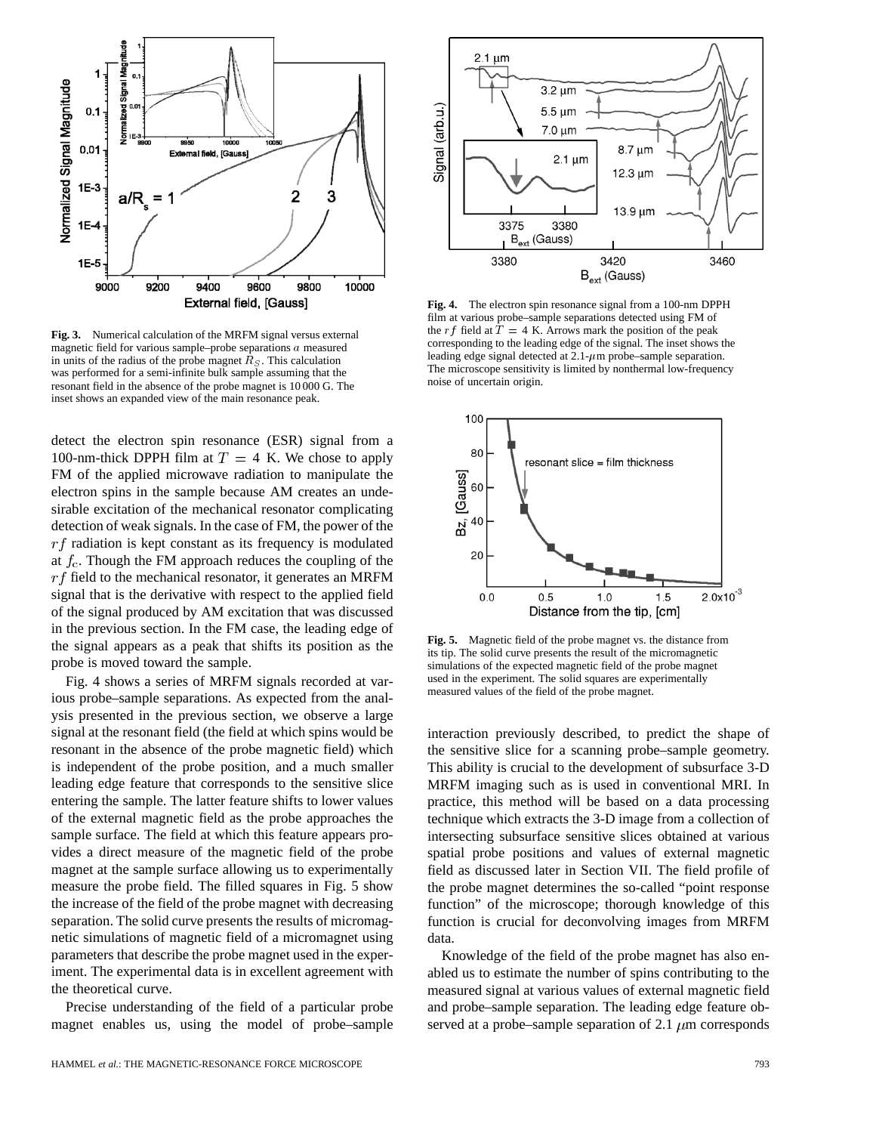

**Fig. 3.** Numerical calculation of the MRFM signal versus external magnetic field for various sample–probe separations a measured in units of the radius of the probe magnet  $R<sub>S</sub>$ . This calculation was performed for a semi-infinite bulk sample assuming that the resonant field in the absence of the probe magnet is 10 000 G. The inset shows an expanded view of the main resonance peak.

detect the electron spin resonance (ESR) signal from a 100-nm-thick DPPH film at  $T = 4$  K. We chose to apply FM of the applied microwave radiation to manipulate the electron spins in the sample because AM creates an undesirable excitation of the mechanical resonator complicating detection of weak signals. In the case of FM, the power of the  $rf$  radiation is kept constant as its frequency is modulated at  $f_c$ . Though the FM approach reduces the coupling of the  $rf$  field to the mechanical resonator, it generates an MRFM signal that is the derivative with respect to the applied field of the signal produced by AM excitation that was discussed in the previous section. In the FM case, the leading edge of the signal appears as a peak that shifts its position as the probe is moved toward the sample.

Fig. 4 shows a series of MRFM signals recorded at various probe–sample separations. As expected from the analysis presented in the previous section, we observe a large signal at the resonant field (the field at which spins would be resonant in the absence of the probe magnetic field) which is independent of the probe position, and a much smaller leading edge feature that corresponds to the sensitive slice entering the sample. The latter feature shifts to lower values of the external magnetic field as the probe approaches the sample surface. The field at which this feature appears provides a direct measure of the magnetic field of the probe magnet at the sample surface allowing us to experimentally measure the probe field. The filled squares in Fig. 5 show the increase of the field of the probe magnet with decreasing separation. The solid curve presents the results of micromagnetic simulations of magnetic field of a micromagnet using parameters that describe the probe magnet used in the experiment. The experimental data is in excellent agreement with the theoretical curve.

Precise understanding of the field of a particular probe magnet enables us, using the model of probe–sample



**Fig. 4.** The electron spin resonance signal from a 100-nm DPPH film at various probe–sample separations detected using FM of the r f field at  $T = 4$  K. Arrows mark the position of the peak corresponding to the leading edge of the signal. The inset shows the leading edge signal detected at  $2.1-\mu$ m probe–sample separation. The microscope sensitivity is limited by nonthermal low-frequency noise of uncertain origin.



**Fig. 5.** Magnetic field of the probe magnet vs. the distance from its tip. The solid curve presents the result of the micromagnetic simulations of the expected magnetic field of the probe magnet used in the experiment. The solid squares are experimentally measured values of the field of the probe magnet.

interaction previously described, to predict the shape of the sensitive slice for a scanning probe–sample geometry. This ability is crucial to the development of subsurface 3-D MRFM imaging such as is used in conventional MRI. In practice, this method will be based on a data processing technique which extracts the 3-D image from a collection of intersecting subsurface sensitive slices obtained at various spatial probe positions and values of external magnetic field as discussed later in Section VII. The field profile of the probe magnet determines the so-called "point response function" of the microscope; thorough knowledge of this function is crucial for deconvolving images from MRFM data.

Knowledge of the field of the probe magnet has also enabled us to estimate the number of spins contributing to the measured signal at various values of external magnetic field and probe–sample separation. The leading edge feature observed at a probe–sample separation of 2.1  $\mu$ m corresponds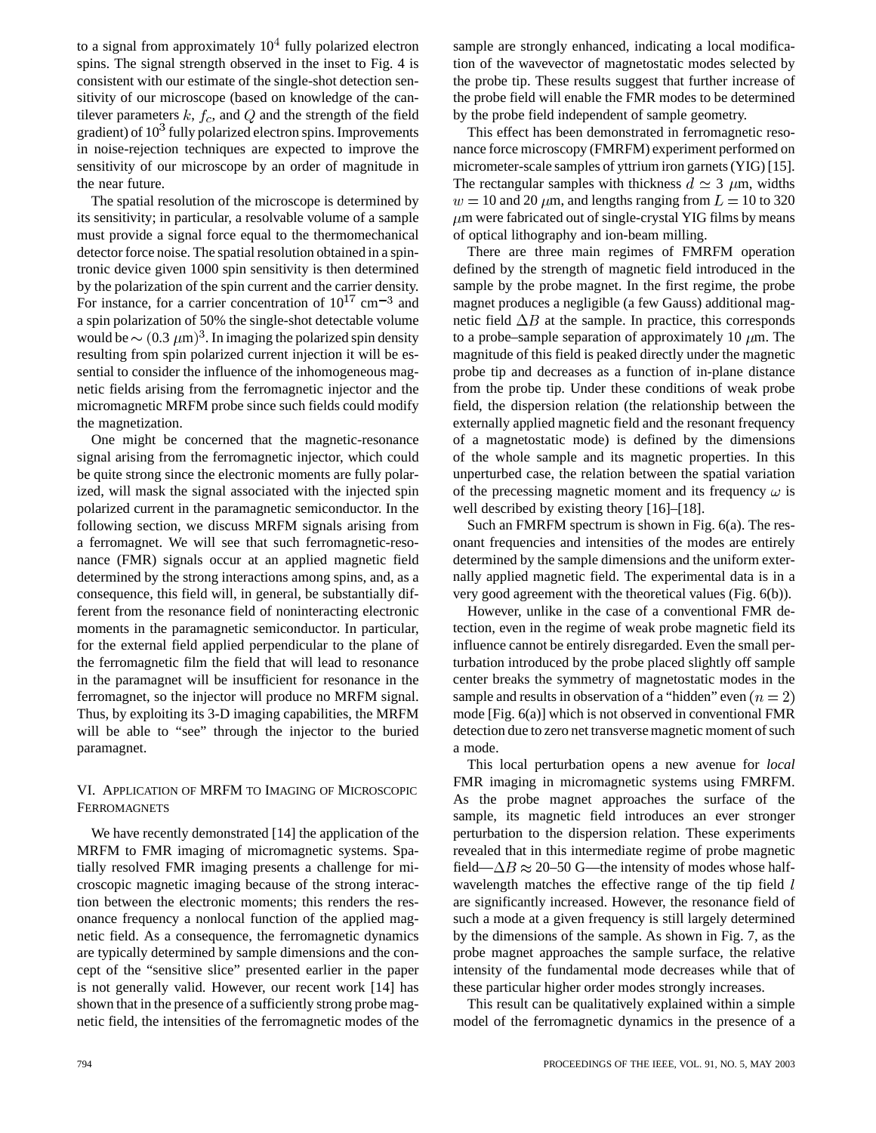to a signal from approximately  $10<sup>4</sup>$  fully polarized electron spins. The signal strength observed in the inset to Fig. 4 is consistent with our estimate of the single-shot detection sensitivity of our microscope (based on knowledge of the cantilever parameters  $k$ ,  $f_c$ , and  $Q$  and the strength of the field gradient) of  $10<sup>3</sup>$  fully polarized electron spins. Improvements in noise-rejection techniques are expected to improve the sensitivity of our microscope by an order of magnitude in the near future.

The spatial resolution of the microscope is determined by its sensitivity; in particular, a resolvable volume of a sample must provide a signal force equal to the thermomechanical detector force noise. The spatial resolution obtained in a spintronic device given 1000 spin sensitivity is then determined by the polarization of the spin current and the carrier density. For instance, for a carrier concentration of  $10^{17}$  cm<sup>-3</sup> and a spin polarization of 50% the single-shot detectable volume would be  $\sim (0.3 \ \mu m)^3$ . In imaging the polarized spin density resulting from spin polarized current injection it will be essential to consider the influence of the inhomogeneous magnetic fields arising from the ferromagnetic injector and the micromagnetic MRFM probe since such fields could modify the magnetization.

One might be concerned that the magnetic-resonance signal arising from the ferromagnetic injector, which could be quite strong since the electronic moments are fully polarized, will mask the signal associated with the injected spin polarized current in the paramagnetic semiconductor. In the following section, we discuss MRFM signals arising from a ferromagnet. We will see that such ferromagnetic-resonance (FMR) signals occur at an applied magnetic field determined by the strong interactions among spins, and, as a consequence, this field will, in general, be substantially different from the resonance field of noninteracting electronic moments in the paramagnetic semiconductor. In particular, for the external field applied perpendicular to the plane of the ferromagnetic film the field that will lead to resonance in the paramagnet will be insufficient for resonance in the ferromagnet, so the injector will produce no MRFM signal. Thus, by exploiting its 3-D imaging capabilities, the MRFM will be able to "see" through the injector to the buried paramagnet.

## VI. APPLICATION OF MRFM TO IMAGING OF MICROSCOPIC **FERROMAGNETS**

We have recently demonstrated [14] the application of the MRFM to FMR imaging of micromagnetic systems. Spatially resolved FMR imaging presents a challenge for microscopic magnetic imaging because of the strong interaction between the electronic moments; this renders the resonance frequency a nonlocal function of the applied magnetic field. As a consequence, the ferromagnetic dynamics are typically determined by sample dimensions and the concept of the "sensitive slice" presented earlier in the paper is not generally valid. However, our recent work [14] has shown that in the presence of a sufficiently strong probe magnetic field, the intensities of the ferromagnetic modes of the sample are strongly enhanced, indicating a local modification of the wavevector of magnetostatic modes selected by the probe tip. These results suggest that further increase of the probe field will enable the FMR modes to be determined by the probe field independent of sample geometry.

This effect has been demonstrated in ferromagnetic resonance force microscopy (FMRFM) experiment performed on micrometer-scale samples of yttrium iron garnets (YIG) [15]. The rectangular samples with thickness  $d \simeq 3 \,\mu \text{m}$ , widths  $w = 10$  and 20  $\mu$ m, and lengths ranging from  $L = 10$  to 320  $\mu$ m were fabricated out of single-crystal YIG films by means of optical lithography and ion-beam milling.

There are three main regimes of FMRFM operation defined by the strength of magnetic field introduced in the sample by the probe magnet. In the first regime, the probe magnet produces a negligible (a few Gauss) additional magnetic field  $\Delta B$  at the sample. In practice, this corresponds to a probe–sample separation of approximately 10  $\mu$ m. The magnitude of this field is peaked directly under the magnetic probe tip and decreases as a function of in-plane distance from the probe tip. Under these conditions of weak probe field, the dispersion relation (the relationship between the externally applied magnetic field and the resonant frequency of a magnetostatic mode) is defined by the dimensions of the whole sample and its magnetic properties. In this unperturbed case, the relation between the spatial variation of the precessing magnetic moment and its frequency  $\omega$  is well described by existing theory [16]–[18].

Such an FMRFM spectrum is shown in Fig. 6(a). The resonant frequencies and intensities of the modes are entirely determined by the sample dimensions and the uniform externally applied magnetic field. The experimental data is in a very good agreement with the theoretical values (Fig. 6(b)).

However, unlike in the case of a conventional FMR detection, even in the regime of weak probe magnetic field its influence cannot be entirely disregarded. Even the small perturbation introduced by the probe placed slightly off sample center breaks the symmetry of magnetostatic modes in the sample and results in observation of a "hidden" even ( $n = 2$ ) mode [Fig. 6(a)] which is not observed in conventional FMR detection due to zero net transverse magnetic moment of such a mode.

This local perturbation opens a new avenue for *local* FMR imaging in micromagnetic systems using FMRFM. As the probe magnet approaches the surface of the sample, its magnetic field introduces an ever stronger perturbation to the dispersion relation. These experiments revealed that in this intermediate regime of probe magnetic field— $\Delta B \approx 20$ –50 G—the intensity of modes whose halfwavelength matches the effective range of the tip field  $l$ are significantly increased. However, the resonance field of such a mode at a given frequency is still largely determined by the dimensions of the sample. As shown in Fig. 7, as the probe magnet approaches the sample surface, the relative intensity of the fundamental mode decreases while that of these particular higher order modes strongly increases.

This result can be qualitatively explained within a simple model of the ferromagnetic dynamics in the presence of a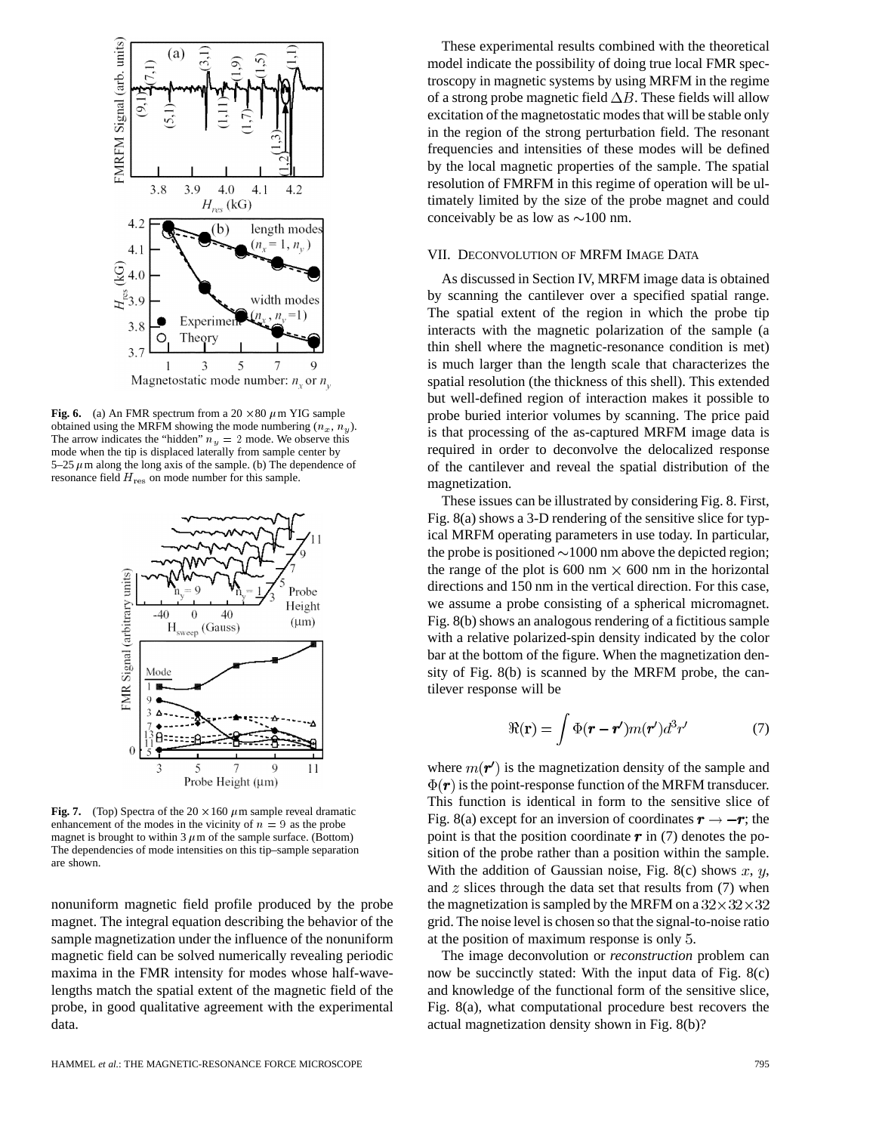

Fig. 6. (a) An FMR spectrum from a  $20 \times 80 \ \mu m$  YIG sample obtained using the MRFM showing the mode numbering  $(n_x, n_y)$ . The arrow indicates the "hidden"  $n_y = 2$  mode. We observe this mode when the tip is displaced laterally from sample center by 5–25  $\mu$ m along the long axis of the sample. (b) The dependence of resonance field  $H_{\text{res}}$  on mode number for this sample.



Fig. 7. (Top) Spectra of the  $20 \times 160 \ \mu$ m sample reveal dramatic enhancement of the modes in the vicinity of  $n = 9$  as the probe magnet is brought to within 3  $\mu$ m of the sample surface. (Bottom) The dependencies of mode intensities on this tip–sample separation are shown.

nonuniform magnetic field profile produced by the probe magnet. The integral equation describing the behavior of the sample magnetization under the influence of the nonuniform magnetic field can be solved numerically revealing periodic maxima in the FMR intensity for modes whose half-wavelengths match the spatial extent of the magnetic field of the probe, in good qualitative agreement with the experimental data.

These experimental results combined with the theoretical model indicate the possibility of doing true local FMR spectroscopy in magnetic systems by using MRFM in the regime of a strong probe magnetic field  $\Delta B$ . These fields will allow excitation of the magnetostatic modes that will be stable only in the region of the strong perturbation field. The resonant frequencies and intensities of these modes will be defined by the local magnetic properties of the sample. The spatial resolution of FMRFM in this regime of operation will be ultimately limited by the size of the probe magnet and could conceivably be as low as  $\sim$ 100 nm.

#### VII. DECONVOLUTION OF MRFM IMAGE DATA

As discussed in Section IV, MRFM image data is obtained by scanning the cantilever over a specified spatial range. The spatial extent of the region in which the probe tip interacts with the magnetic polarization of the sample (a thin shell where the magnetic-resonance condition is met) is much larger than the length scale that characterizes the spatial resolution (the thickness of this shell). This extended but well-defined region of interaction makes it possible to probe buried interior volumes by scanning. The price paid is that processing of the as-captured MRFM image data is required in order to deconvolve the delocalized response of the cantilever and reveal the spatial distribution of the magnetization.

These issues can be illustrated by considering Fig. 8. First, Fig. 8(a) shows a 3-D rendering of the sensitive slice for typical MRFM operating parameters in use today. In particular, the probe is positioned  $\sim$  1000 nm above the depicted region; the range of the plot is 600 nm  $\times$  600 nm in the horizontal directions and 150 nm in the vertical direction. For this case, we assume a probe consisting of a spherical micromagnet. Fig. 8(b) shows an analogous rendering of a fictitious sample with a relative polarized-spin density indicated by the color bar at the bottom of the figure. When the magnetization density of Fig. 8(b) is scanned by the MRFM probe, the cantilever response will be

$$
\Re(\mathbf{r}) = \int \Phi(\mathbf{r} - \mathbf{r}') m(\mathbf{r}') d^3 r' \tag{7}
$$

where  $m(\mathbf{r}')$  is the magnetization density of the sample and  $\Phi(r)$  is the point-response function of the MRFM transducer. This function is identical in form to the sensitive slice of Fig. 8(a) except for an inversion of coordinates  $\mathbf{r} \rightarrow -\mathbf{r}$ ; the point is that the position coordinate  $\boldsymbol{r}$  in (7) denotes the position of the probe rather than a position within the sample. With the addition of Gaussian noise, Fig. 8(c) shows  $x, y$ , and  $z$  slices through the data set that results from (7) when the magnetization is sampled by the MRFM on a  $32 \times 32 \times 32$ grid. The noise level is chosen so that the signal-to-noise ratio at the position of maximum response is only 5.

The image deconvolution or *reconstruction* problem can now be succinctly stated: With the input data of Fig. 8(c) and knowledge of the functional form of the sensitive slice, Fig. 8(a), what computational procedure best recovers the actual magnetization density shown in Fig. 8(b)?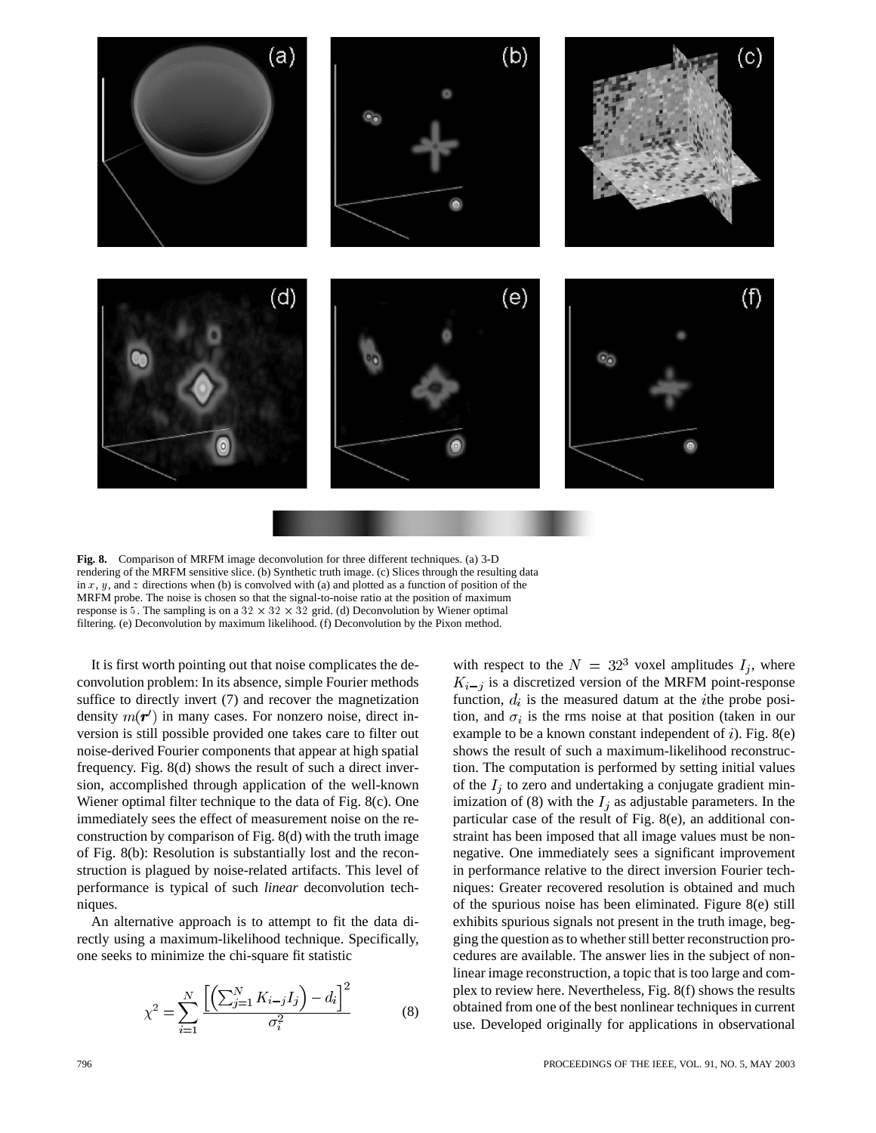

**Fig. 8.** Comparison of MRFM image deconvolution for three different techniques. (a) 3-D rendering of the MRFM sensitive slice. (b) Synthetic truth image. (c) Slices through the resulting data in x, y, and z directions when (b) is convolved with (a) and plotted as a function of position of the MRFM probe. The noise is chosen so that the signal-to-noise ratio at the position of maximum response is 5. The sampling is on a 32  $\times$  32  $\times$  32 grid. (d) Deconvolution by Wiener optimal filtering. (e) Deconvolution by maximum likelihood. (f) Deconvolution by the Pixon method.

It is first worth pointing out that noise complicates the deconvolution problem: In its absence, simple Fourier methods suffice to directly invert (7) and recover the magnetization density  $m(\mathbf{r}')$  in many cases. For nonzero noise, direct inversion is still possible provided one takes care to filter out noise-derived Fourier components that appear at high spatial frequency. Fig. 8(d) shows the result of such a direct inversion, accomplished through application of the well-known Wiener optimal filter technique to the data of Fig. 8(c). One immediately sees the effect of measurement noise on the reconstruction by comparison of Fig. 8(d) with the truth image of Fig. 8(b): Resolution is substantially lost and the reconstruction is plagued by noise-related artifacts. This level of performance is typical of such *linear* deconvolution techniques.

An alternative approach is to attempt to fit the data directly using a maximum-likelihood technique. Specifically, one seeks to minimize the chi-square fit statistic

$$
\chi^2 = \sum_{i=1}^{N} \frac{\left[ \left( \sum_{j=1}^{N} K_{i-j} I_j \right) - d_i \right]^2}{\sigma_i^2}
$$
(8)

with respect to the  $N = 32<sup>3</sup>$  voxel amplitudes  $I_j$ , where  $K_{i-j}$  is a discretized version of the MRFM point-response function,  $d_i$  is the measured datum at the *i*the probe position, and  $\sigma_i$  is the rms noise at that position (taken in our example to be a known constant independent of  $i$ ). Fig. 8(e) shows the result of such a maximum-likelihood reconstruction. The computation is performed by setting initial values of the  $I_j$  to zero and undertaking a conjugate gradient minimization of (8) with the  $I_i$  as adjustable parameters. In the particular case of the result of Fig. 8(e), an additional constraint has been imposed that all image values must be nonnegative. One immediately sees a significant improvement in performance relative to the direct inversion Fourier techniques: Greater recovered resolution is obtained and much of the spurious noise has been eliminated. Figure 8(e) still exhibits spurious signals not present in the truth image, begging the question as to whether still better reconstruction procedures are available. The answer lies in the subject of nonlinear image reconstruction, a topic that is too large and complex to review here. Nevertheless, Fig. 8(f) shows the results obtained from one of the best nonlinear techniques in current use. Developed originally for applications in observational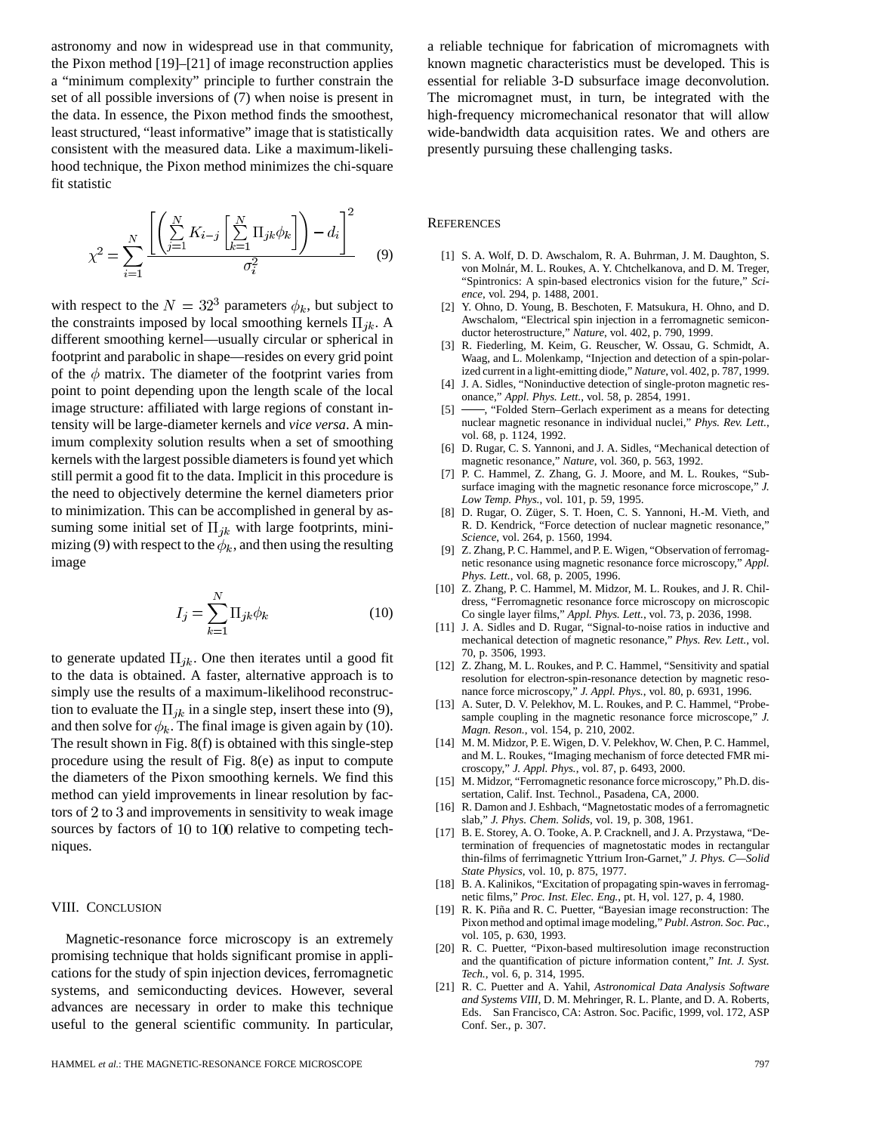astronomy and now in widespread use in that community, the Pixon method [19]–[21] of image reconstruction applies a "minimum complexity" principle to further constrain the set of all possible inversions of (7) when noise is present in the data. In essence, the Pixon method finds the smoothest, least structured, "least informative" image that is statistically consistent with the measured data. Like a maximum-likelihood technique, the Pixon method minimizes the chi-square fit statistic

$$
\chi^2 = \sum_{i=1}^N \frac{\left[ \left( \sum_{j=1}^N K_{i-j} \left[ \sum_{k=1}^N \Pi_{jk} \phi_k \right] \right) - d_i \right]^2}{\sigma_i^2} \tag{9}
$$

with respect to the  $N = 32<sup>3</sup>$  parameters  $\phi_k$ , but subject to the constraints imposed by local smoothing kernels  $\Pi_{ik}$ . A different smoothing kernel—usually circular or spherical in footprint and parabolic in shape—resides on every grid point of the  $\phi$  matrix. The diameter of the footprint varies from point to point depending upon the length scale of the local image structure: affiliated with large regions of constant intensity will be large-diameter kernels and *vice versa*. A minimum complexity solution results when a set of smoothing kernels with the largest possible diameters is found yet which still permit a good fit to the data. Implicit in this procedure is the need to objectively determine the kernel diameters prior to minimization. This can be accomplished in general by assuming some initial set of  $\Pi_{jk}$  with large footprints, minimizing (9) with respect to the  $\phi_k$ , and then using the resulting image

$$
I_j = \sum_{k=1}^{N} \Pi_{jk} \phi_k
$$
 (10)

to generate updated  $\Pi_{jk}$ . One then iterates until a good fit to the data is obtained. A faster, alternative approach is to simply use the results of a maximum-likelihood reconstruction to evaluate the  $\Pi_{jk}$  in a single step, insert these into (9), and then solve for  $\phi_k$ . The final image is given again by (10). The result shown in Fig. 8(f) is obtained with this single-step procedure using the result of Fig. 8(e) as input to compute the diameters of the Pixon smoothing kernels. We find this method can yield improvements in linear resolution by factors of  $2$  to  $3$  and improvements in sensitivity to weak image sources by factors of 10 to 100 relative to competing techniques.

#### VIII. CONCLUSION

Magnetic-resonance force microscopy is an extremely promising technique that holds significant promise in applications for the study of spin injection devices, ferromagnetic systems, and semiconducting devices. However, several advances are necessary in order to make this technique useful to the general scientific community. In particular, a reliable technique for fabrication of micromagnets with known magnetic characteristics must be developed. This is essential for reliable 3-D subsurface image deconvolution. The micromagnet must, in turn, be integrated with the high-frequency micromechanical resonator that will allow wide-bandwidth data acquisition rates. We and others are presently pursuing these challenging tasks.

#### **REFERENCES**

- [1] S. A. Wolf, D. D. Awschalom, R. A. Buhrman, J. M. Daughton, S. von Molnár, M. L. Roukes, A. Y. Chtchelkanova, and D. M. Treger, "Spintronics: A spin-based electronics vision for the future," *Science*, vol. 294, p. 1488, 2001.
- [2] Y. Ohno, D. Young, B. Beschoten, F. Matsukura, H. Ohno, and D. Awschalom, "Electrical spin injection in a ferromagnetic semiconductor heterostructure," *Nature*, vol. 402, p. 790, 1999.
- [3] R. Fiederling, M. Keim, G. Reuscher, W. Ossau, G. Schmidt, A. Waag, and L. Molenkamp, "Injection and detection of a spin-polarized current in a light-emitting diode," *Nature*, vol. 402, p. 787, 1999.
- [4] J. A. Sidles, "Noninductive detection of single-proton magnetic resonance," *Appl. Phys. Lett.*, vol. 58, p. 2854, 1991.
- [5]  $\rightarrow$  "Folded Stern–Gerlach experiment as a means for detecting nuclear magnetic resonance in individual nuclei," *Phys. Rev. Lett.*, vol. 68, p. 1124, 1992.
- [6] D. Rugar, C. S. Yannoni, and J. A. Sidles, "Mechanical detection of magnetic resonance," *Nature*, vol. 360, p. 563, 1992.
- [7] P. C. Hammel, Z. Zhang, G. J. Moore, and M. L. Roukes, "Subsurface imaging with the magnetic resonance force microscope," *J. Low Temp. Phys.*, vol. 101, p. 59, 1995.
- [8] D. Rugar, O. Züger, S. T. Hoen, C. S. Yannoni, H.-M. Vieth, and R. D. Kendrick, "Force detection of nuclear magnetic resonance," *Science*, vol. 264, p. 1560, 1994.
- [9] Z. Zhang, P. C. Hammel, and P. E. Wigen, "Observation of ferromagnetic resonance using magnetic resonance force microscopy," *Appl. Phys. Lett.*, vol. 68, p. 2005, 1996.
- [10] Z. Zhang, P. C. Hammel, M. Midzor, M. L. Roukes, and J. R. Childress, "Ferromagnetic resonance force microscopy on microscopic Co single layer films," *Appl. Phys. Lett.*, vol. 73, p. 2036, 1998.
- [11] J. A. Sidles and D. Rugar, "Signal-to-noise ratios in inductive and mechanical detection of magnetic resonance," *Phys. Rev. Lett.*, vol. 70, p. 3506, 1993.
- [12] Z. Zhang, M. L. Roukes, and P. C. Hammel, "Sensitivity and spatial resolution for electron-spin-resonance detection by magnetic resonance force microscopy," *J. Appl. Phys.*, vol. 80, p. 6931, 1996.
- [13] A. Suter, D. V. Pelekhov, M. L. Roukes, and P. C. Hammel, "Probesample coupling in the magnetic resonance force microscope," *J. Magn. Reson.*, vol. 154, p. 210, 2002.
- [14] M. M. Midzor, P. E. Wigen, D. V. Pelekhov, W. Chen, P. C. Hammel, and M. L. Roukes, "Imaging mechanism of force detected FMR microscopy," *J. Appl. Phys.*, vol. 87, p. 6493, 2000.
- [15] M. Midzor, "Ferromagnetic resonance force microscopy," Ph.D. dissertation, Calif. Inst. Technol., Pasadena, CA, 2000.
- [16] R. Damon and J. Eshbach, "Magnetostatic modes of a ferromagnetic slab," *J. Phys. Chem. Solids*, vol. 19, p. 308, 1961.
- [17] B. E. Storey, A. O. Tooke, A. P. Cracknell, and J. A. Przystawa, "Determination of frequencies of magnetostatic modes in rectangular thin-films of ferrimagnetic Yttrium Iron-Garnet," *J. Phys. C—Solid State Physics*, vol. 10, p. 875, 1977.
- [18] B. A. Kalinikos, "Excitation of propagating spin-waves in ferromagnetic films," *Proc. Inst. Elec. Eng.*, pt. H, vol. 127, p. 4, 1980.
- [19] R. K. Piña and R. C. Puetter, "Bayesian image reconstruction: The Pixon method and optimal image modeling," *Publ. Astron. Soc. Pac.*, vol. 105, p. 630, 1993.
- [20] R. C. Puetter, "Pixon-based multiresolution image reconstruction and the quantification of picture information content," *Int. J. Syst. Tech.*, vol. 6, p. 314, 1995.
- [21] R. C. Puetter and A. Yahil, *Astronomical Data Analysis Software and Systems VIII*, D. M. Mehringer, R. L. Plante, and D. A. Roberts, Eds. San Francisco, CA: Astron. Soc. Pacific, 1999, vol. 172, ASP Conf. Ser., p. 307.